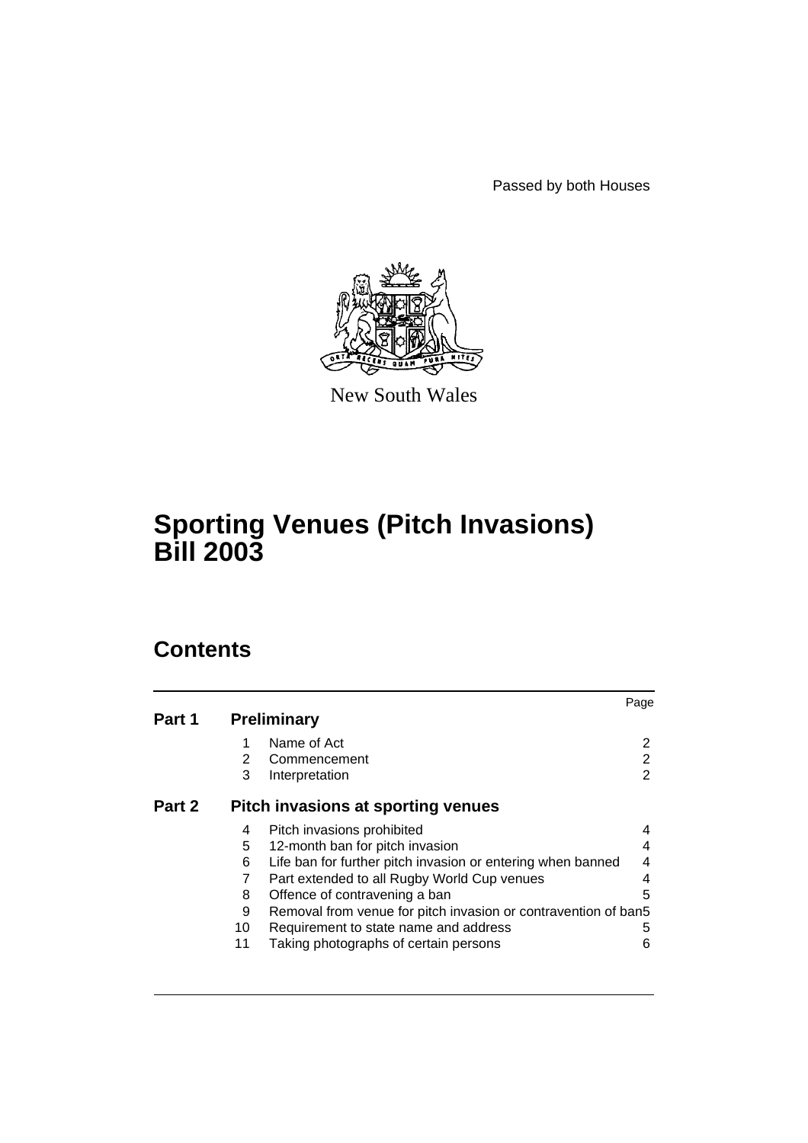Passed by both Houses



New South Wales

# **Sporting Venues (Pitch Invasions) Bill 2003**

# **Contents**

|        |                                    |                                                                | Page |
|--------|------------------------------------|----------------------------------------------------------------|------|
| Part 1 |                                    | <b>Preliminary</b>                                             |      |
|        | 1                                  | Name of Act                                                    | 2    |
|        | 2                                  | Commencement                                                   | 2    |
|        | 3                                  | Interpretation                                                 | 2    |
| Part 2 | Pitch invasions at sporting venues |                                                                |      |
|        | 4                                  | Pitch invasions prohibited                                     | 4    |
|        | 5                                  | 12-month ban for pitch invasion                                | 4    |
|        | 6                                  | Life ban for further pitch invasion or entering when banned    | 4    |
|        | 7                                  | Part extended to all Rugby World Cup venues                    | 4    |
|        | 8                                  | Offence of contravening a ban                                  | 5    |
|        | 9                                  | Removal from venue for pitch invasion or contravention of ban5 |      |
|        | 10                                 | Requirement to state name and address                          | 5    |
|        | 11                                 | Taking photographs of certain persons                          | 6    |
|        |                                    |                                                                |      |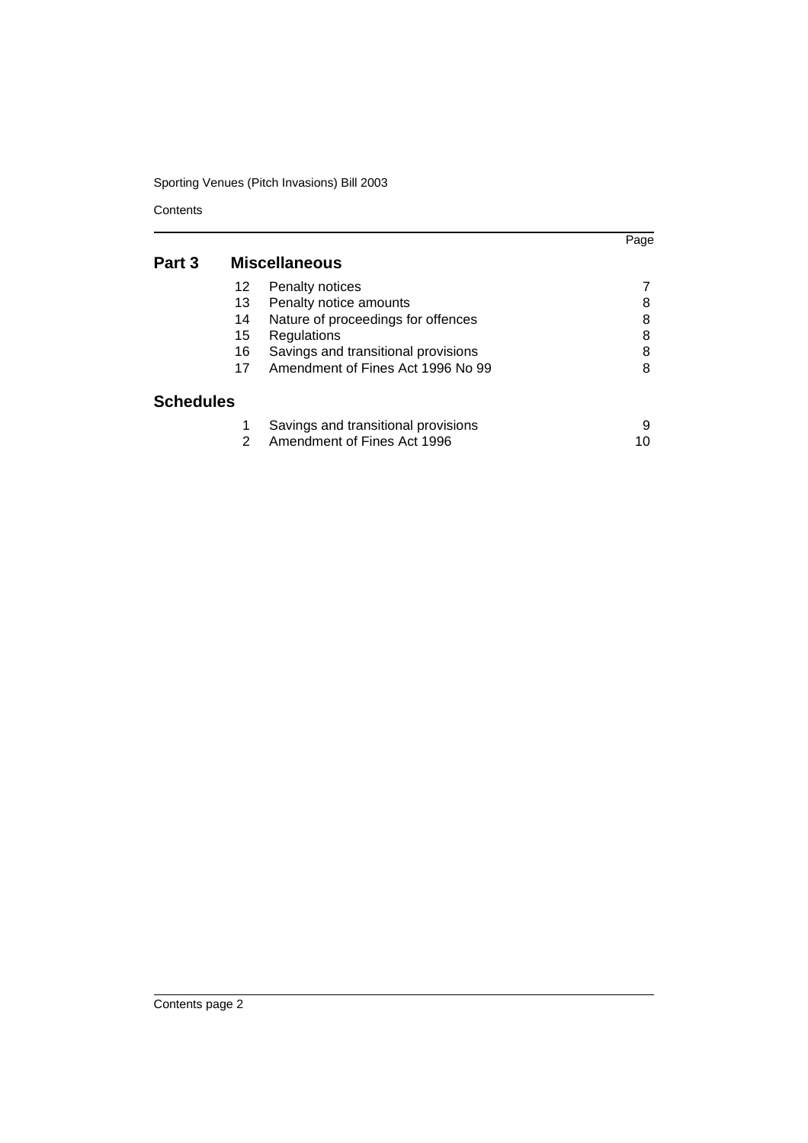# Sporting Venues (Pitch Invasions) Bill 2003

**Contents** 

|           |    |                                     | Page |
|-----------|----|-------------------------------------|------|
| Part 3    |    | <b>Miscellaneous</b>                |      |
|           | 12 | Penalty notices                     |      |
|           | 13 | Penalty notice amounts              | 8    |
|           | 14 | Nature of proceedings for offences  | 8    |
|           | 15 | Regulations                         | 8    |
|           | 16 | Savings and transitional provisions | 8    |
|           | 17 | Amendment of Fines Act 1996 No 99   | 8    |
| Schedules |    |                                     |      |
|           |    | Savings and transitional provisions | 9    |
|           | 2  | Amendment of Fines Act 1996         | 10   |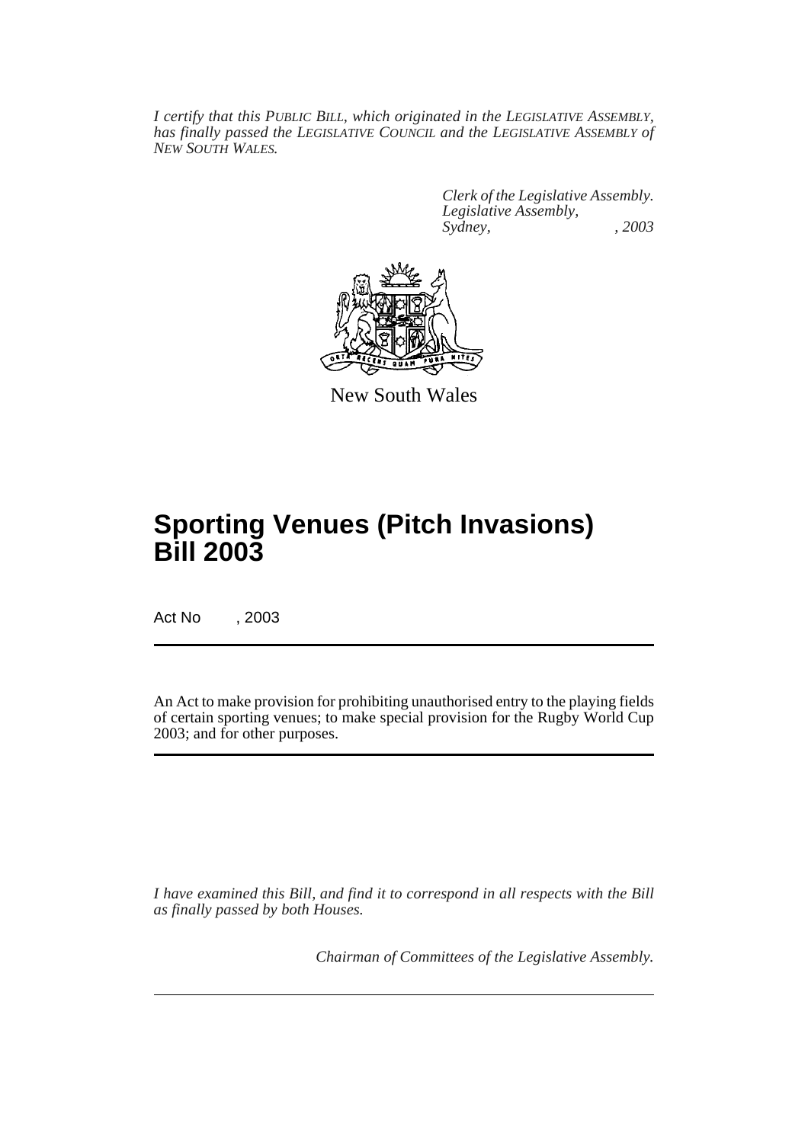*I certify that this PUBLIC BILL, which originated in the LEGISLATIVE ASSEMBLY, has finally passed the LEGISLATIVE COUNCIL and the LEGISLATIVE ASSEMBLY of NEW SOUTH WALES.*

> *Clerk of the Legislative Assembly. Legislative Assembly, Sydney, , 2003*



New South Wales

# **Sporting Venues (Pitch Invasions) Bill 2003**

Act No , 2003

An Act to make provision for prohibiting unauthorised entry to the playing fields of certain sporting venues; to make special provision for the Rugby World Cup 2003; and for other purposes.

*I have examined this Bill, and find it to correspond in all respects with the Bill as finally passed by both Houses.*

*Chairman of Committees of the Legislative Assembly.*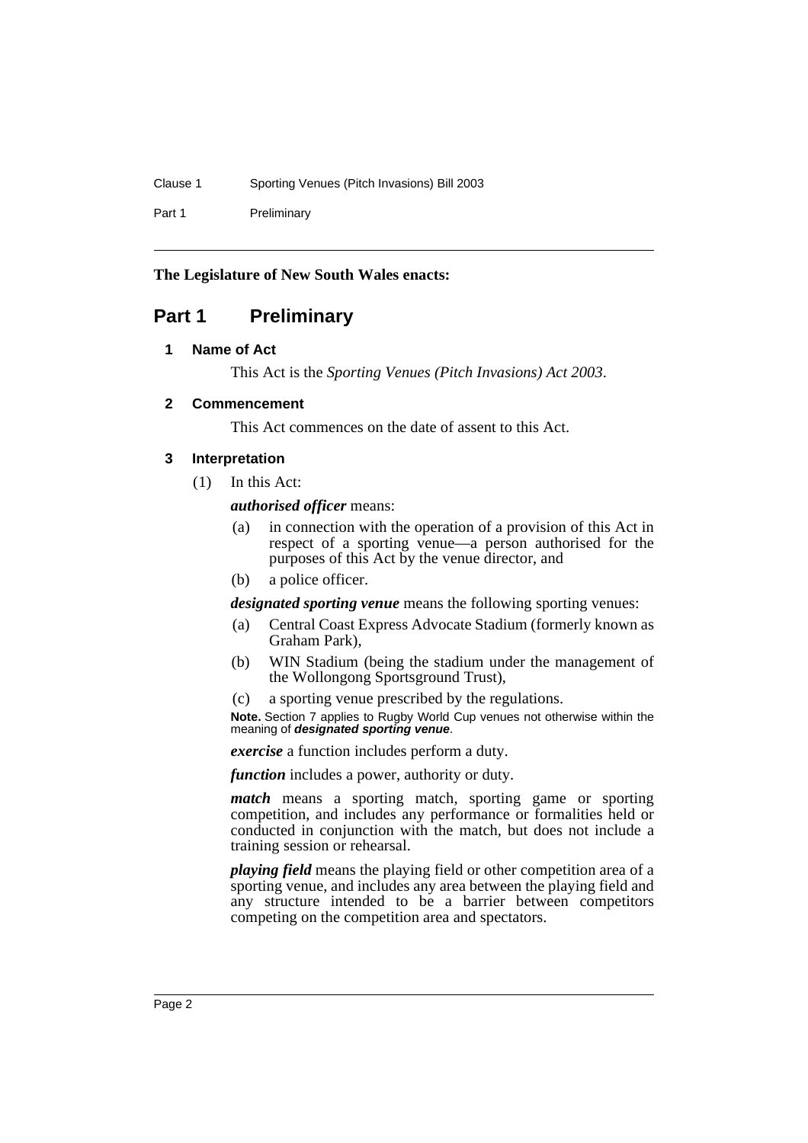Clause 1 Sporting Venues (Pitch Invasions) Bill 2003

Part 1 Preliminary

## **The Legislature of New South Wales enacts:**

# **Part 1 Preliminary**

## **1 Name of Act**

This Act is the *Sporting Venues (Pitch Invasions) Act 2003*.

## **2 Commencement**

This Act commences on the date of assent to this Act.

#### **3 Interpretation**

(1) In this Act:

#### *authorised officer* means:

- (a) in connection with the operation of a provision of this Act in respect of a sporting venue—a person authorised for the purposes of this Act by the venue director, and
- (b) a police officer.

*designated sporting venue* means the following sporting venues:

- (a) Central Coast Express Advocate Stadium (formerly known as Graham Park),
- (b) WIN Stadium (being the stadium under the management of the Wollongong Sportsground Trust),
- (c) a sporting venue prescribed by the regulations.

**Note.** Section 7 applies to Rugby World Cup venues not otherwise within the meaning of **designated sporting venue**.

*exercise* a function includes perform a duty.

*function* includes a power, authority or duty.

*match* means a sporting match, sporting game or sporting competition, and includes any performance or formalities held or conducted in conjunction with the match, but does not include a training session or rehearsal.

*playing field* means the playing field or other competition area of a sporting venue, and includes any area between the playing field and any structure intended to be a barrier between competitors competing on the competition area and spectators.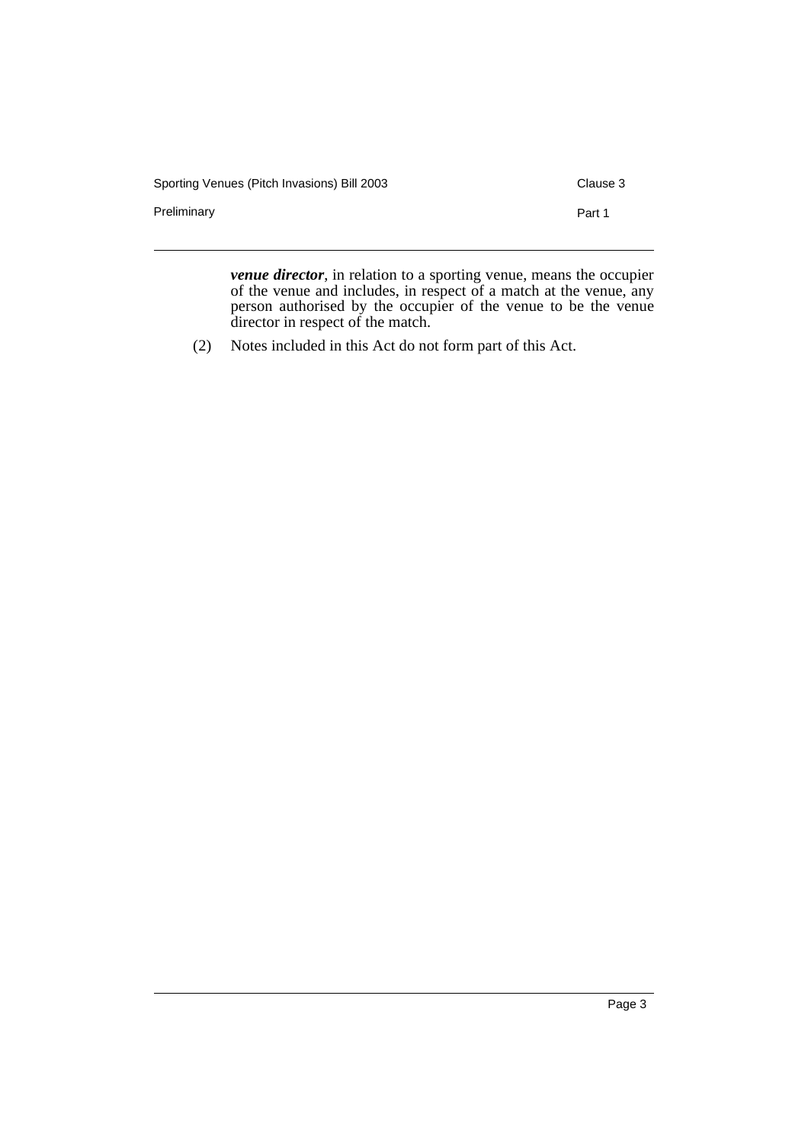| Sporting Venues (Pitch Invasions) Bill 2003 | Clause 3 |
|---------------------------------------------|----------|
| Preliminary                                 | Part 1   |
| __<br>.                                     |          |

*venue director*, in relation to a sporting venue, means the occupier of the venue and includes, in respect of a match at the venue, any person authorised by the occupier of the venue to be the venue director in respect of the match.

(2) Notes included in this Act do not form part of this Act.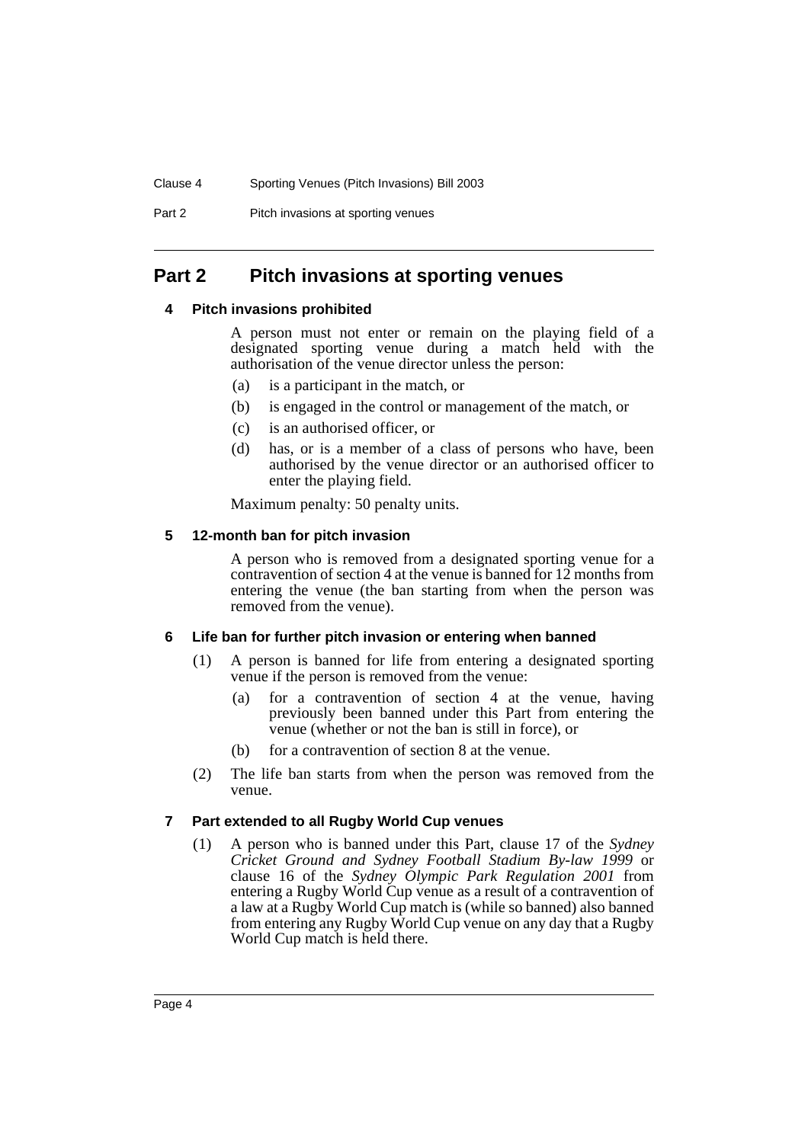Part 2 Pitch invasions at sporting venues

# **Part 2 Pitch invasions at sporting venues**

#### **4 Pitch invasions prohibited**

A person must not enter or remain on the playing field of a designated sporting venue during a match held with the authorisation of the venue director unless the person:

- (a) is a participant in the match, or
- (b) is engaged in the control or management of the match, or
- (c) is an authorised officer, or
- (d) has, or is a member of a class of persons who have, been authorised by the venue director or an authorised officer to enter the playing field.

Maximum penalty: 50 penalty units.

#### **5 12-month ban for pitch invasion**

A person who is removed from a designated sporting venue for a contravention of section 4 at the venue is banned for 12 months from entering the venue (the ban starting from when the person was removed from the venue).

## **6 Life ban for further pitch invasion or entering when banned**

- (1) A person is banned for life from entering a designated sporting venue if the person is removed from the venue:
	- (a) for a contravention of section 4 at the venue, having previously been banned under this Part from entering the venue (whether or not the ban is still in force), or
	- (b) for a contravention of section 8 at the venue.
- (2) The life ban starts from when the person was removed from the venue.

## **7 Part extended to all Rugby World Cup venues**

(1) A person who is banned under this Part, clause 17 of the *Sydney Cricket Ground and Sydney Football Stadium By-law 1999* or clause 16 of the *Sydney Olympic Park Regulation 2001* from entering a Rugby World Cup venue as a result of a contravention of a law at a Rugby World Cup match is (while so banned) also banned from entering any Rugby World Cup venue on any day that a Rugby World Cup match is held there.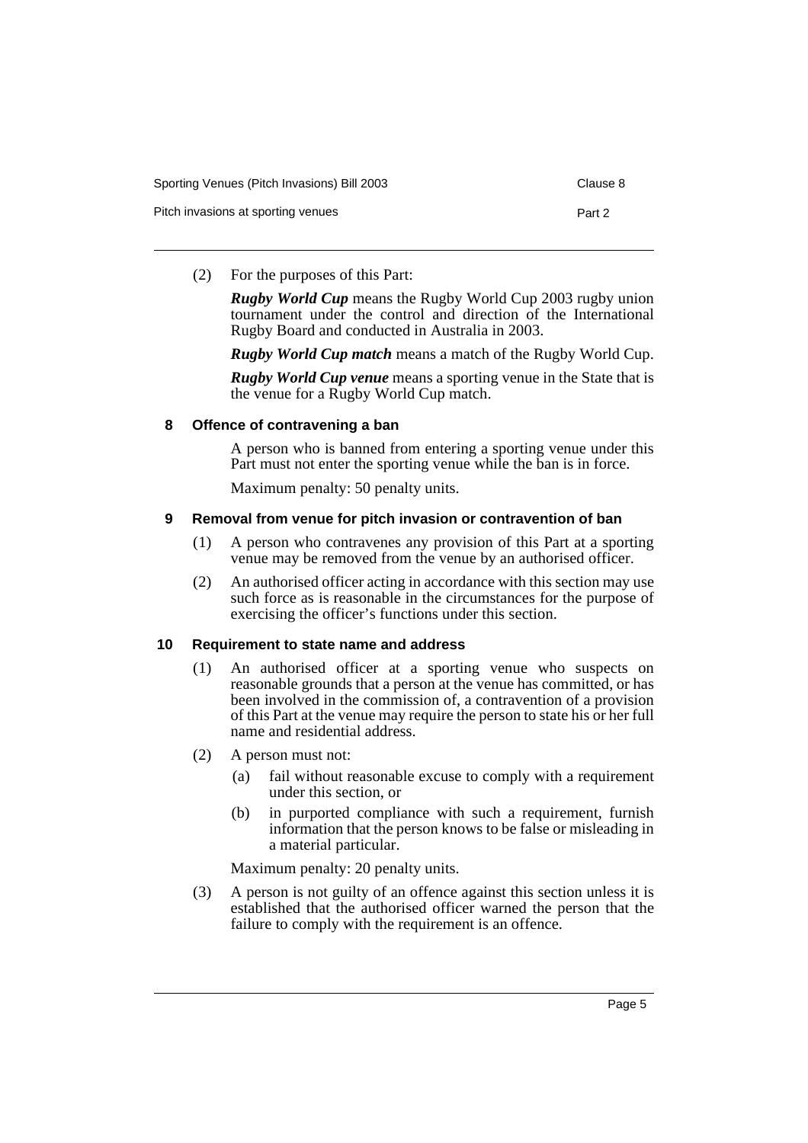| Sporting Venues (Pitch Invasions) Bill 2003 | Clause 8 |
|---------------------------------------------|----------|
| Pitch invasions at sporting venues          | Part 2   |

(2) For the purposes of this Part:

*Rugby World Cup* means the Rugby World Cup 2003 rugby union tournament under the control and direction of the International Rugby Board and conducted in Australia in 2003.

*Rugby World Cup match* means a match of the Rugby World Cup.

*Rugby World Cup venue* means a sporting venue in the State that is the venue for a Rugby World Cup match.

#### **8 Offence of contravening a ban**

A person who is banned from entering a sporting venue under this Part must not enter the sporting venue while the ban is in force.

Maximum penalty: 50 penalty units.

#### **9 Removal from venue for pitch invasion or contravention of ban**

- (1) A person who contravenes any provision of this Part at a sporting venue may be removed from the venue by an authorised officer.
- (2) An authorised officer acting in accordance with this section may use such force as is reasonable in the circumstances for the purpose of exercising the officer's functions under this section.

#### **10 Requirement to state name and address**

- (1) An authorised officer at a sporting venue who suspects on reasonable grounds that a person at the venue has committed, or has been involved in the commission of, a contravention of a provision of this Part at the venue may require the person to state his or her full name and residential address.
- (2) A person must not:
	- (a) fail without reasonable excuse to comply with a requirement under this section, or
	- (b) in purported compliance with such a requirement, furnish information that the person knows to be false or misleading in a material particular.

Maximum penalty: 20 penalty units.

(3) A person is not guilty of an offence against this section unless it is established that the authorised officer warned the person that the failure to comply with the requirement is an offence.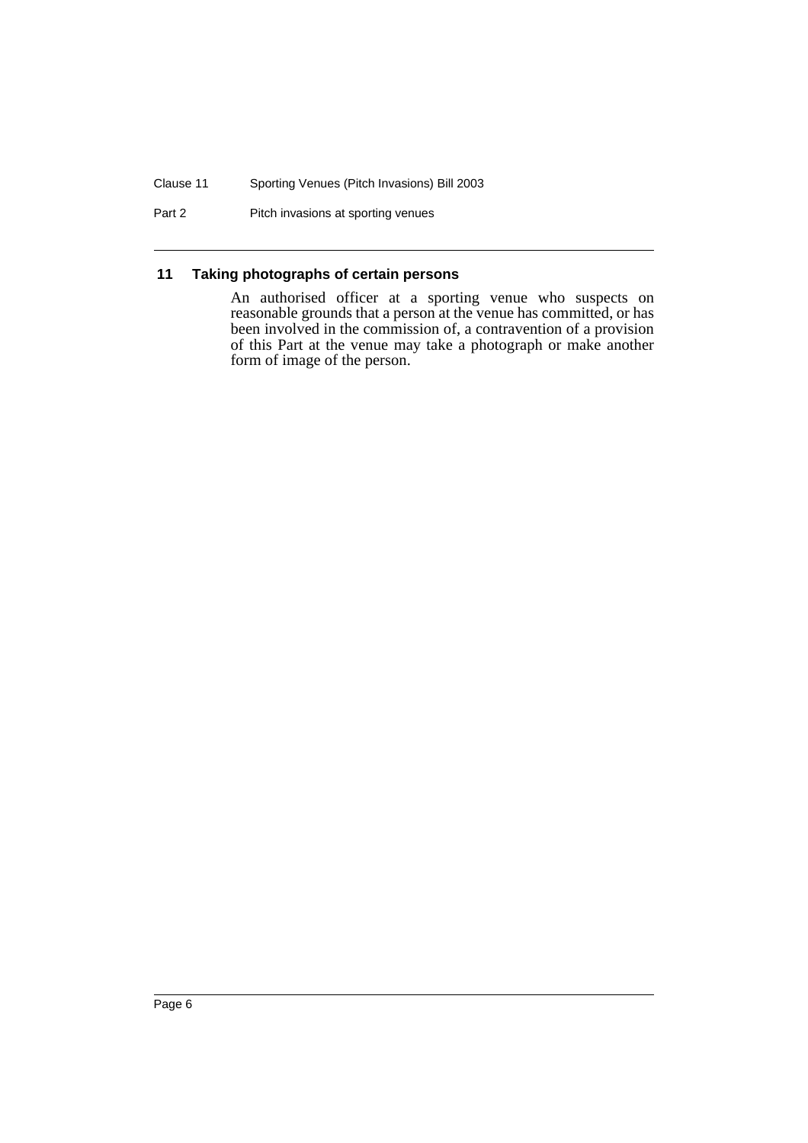#### Clause 11 Sporting Venues (Pitch Invasions) Bill 2003

Part 2 Pitch invasions at sporting venues

## **11 Taking photographs of certain persons**

An authorised officer at a sporting venue who suspects on reasonable grounds that a person at the venue has committed, or has been involved in the commission of, a contravention of a provision of this Part at the venue may take a photograph or make another form of image of the person.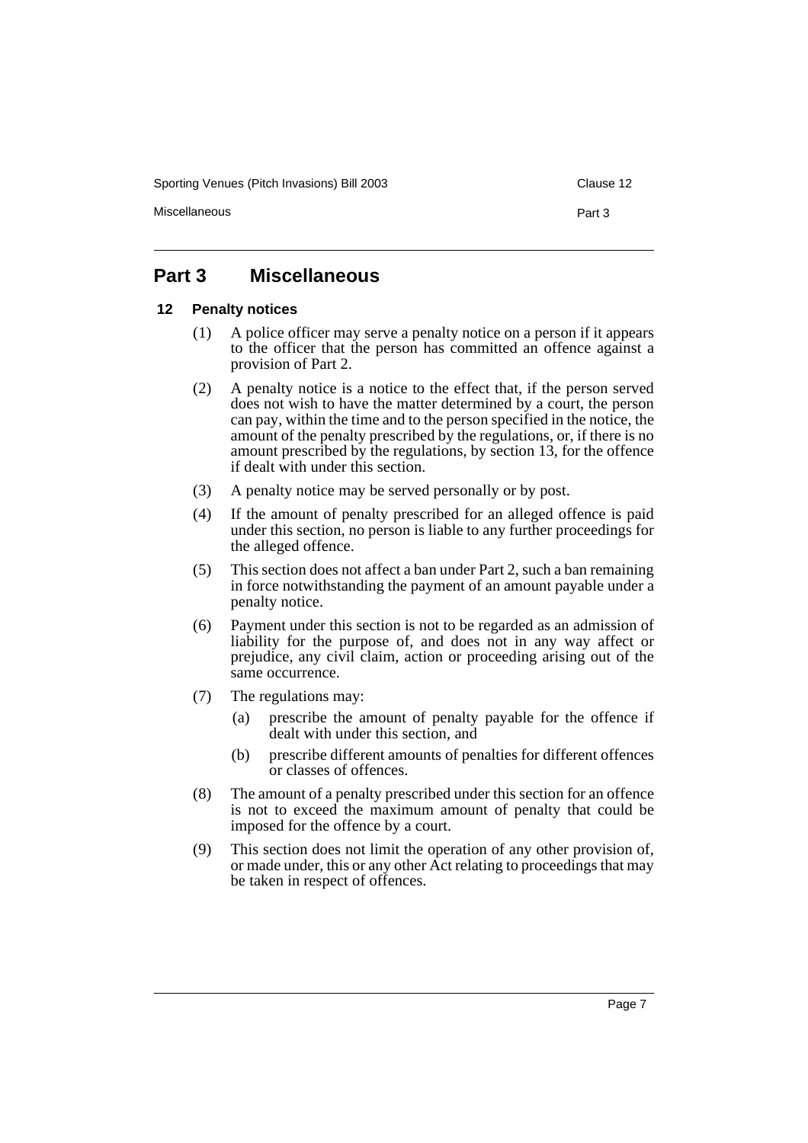Sporting Venues (Pitch Invasions) Bill 2003 Clause 12

Miscellaneous **Part 3** 

# **Part 3 Miscellaneous**

#### **12 Penalty notices**

- (1) A police officer may serve a penalty notice on a person if it appears to the officer that the person has committed an offence against a provision of Part 2.
- (2) A penalty notice is a notice to the effect that, if the person served does not wish to have the matter determined by a court, the person can pay, within the time and to the person specified in the notice, the amount of the penalty prescribed by the regulations, or, if there is no amount prescribed by the regulations, by section 13, for the offence if dealt with under this section.
- (3) A penalty notice may be served personally or by post.
- (4) If the amount of penalty prescribed for an alleged offence is paid under this section, no person is liable to any further proceedings for the alleged offence.
- (5) This section does not affect a ban under Part 2, such a ban remaining in force notwithstanding the payment of an amount payable under a penalty notice.
- (6) Payment under this section is not to be regarded as an admission of liability for the purpose of, and does not in any way affect or prejudice, any civil claim, action or proceeding arising out of the same occurrence.
- (7) The regulations may:
	- (a) prescribe the amount of penalty payable for the offence if dealt with under this section, and
	- (b) prescribe different amounts of penalties for different offences or classes of offences.
- (8) The amount of a penalty prescribed under this section for an offence is not to exceed the maximum amount of penalty that could be imposed for the offence by a court.
- (9) This section does not limit the operation of any other provision of, or made under, this or any other Act relating to proceedings that may be taken in respect of offences.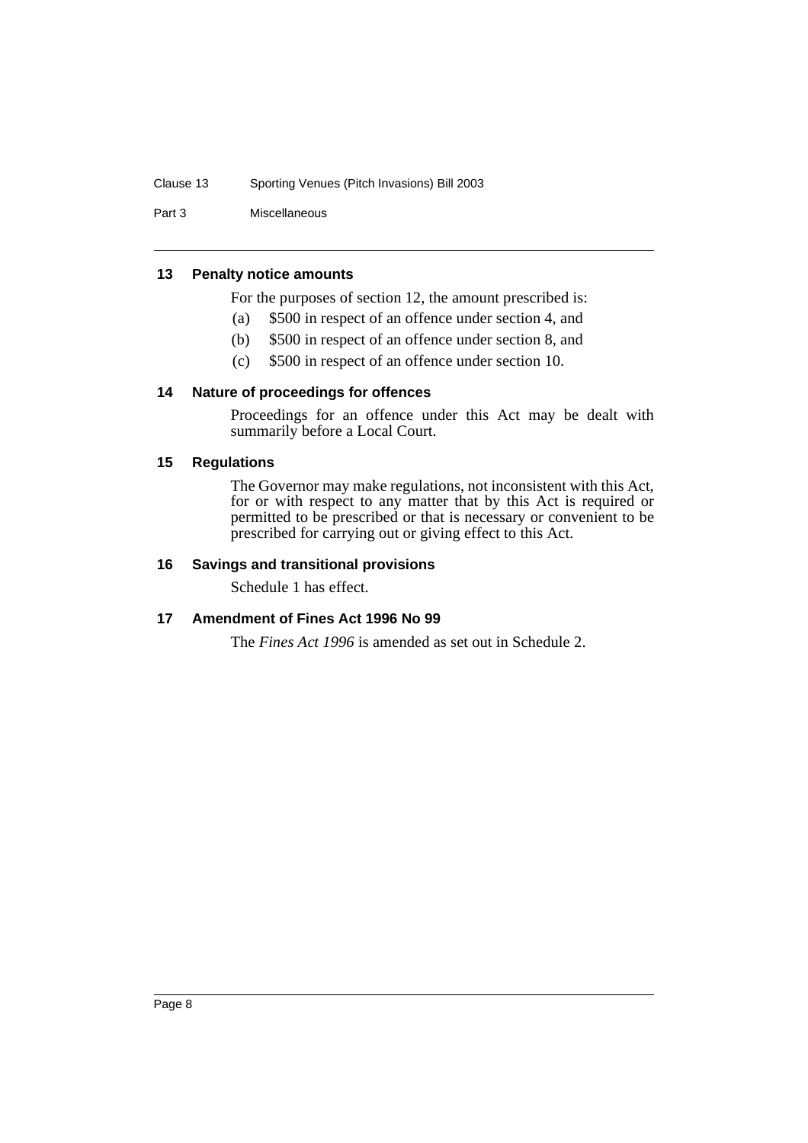#### Clause 13 Sporting Venues (Pitch Invasions) Bill 2003

Part 3 Miscellaneous

#### **13 Penalty notice amounts**

For the purposes of section 12, the amount prescribed is:

- (a) \$500 in respect of an offence under section 4, and
- (b) \$500 in respect of an offence under section 8, and
- (c) \$500 in respect of an offence under section 10.

#### **14 Nature of proceedings for offences**

Proceedings for an offence under this Act may be dealt with summarily before a Local Court.

#### **15 Regulations**

The Governor may make regulations, not inconsistent with this Act, for or with respect to any matter that by this Act is required or permitted to be prescribed or that is necessary or convenient to be prescribed for carrying out or giving effect to this Act.

#### **16 Savings and transitional provisions**

Schedule 1 has effect.

#### **17 Amendment of Fines Act 1996 No 99**

The *Fines Act 1996* is amended as set out in Schedule 2.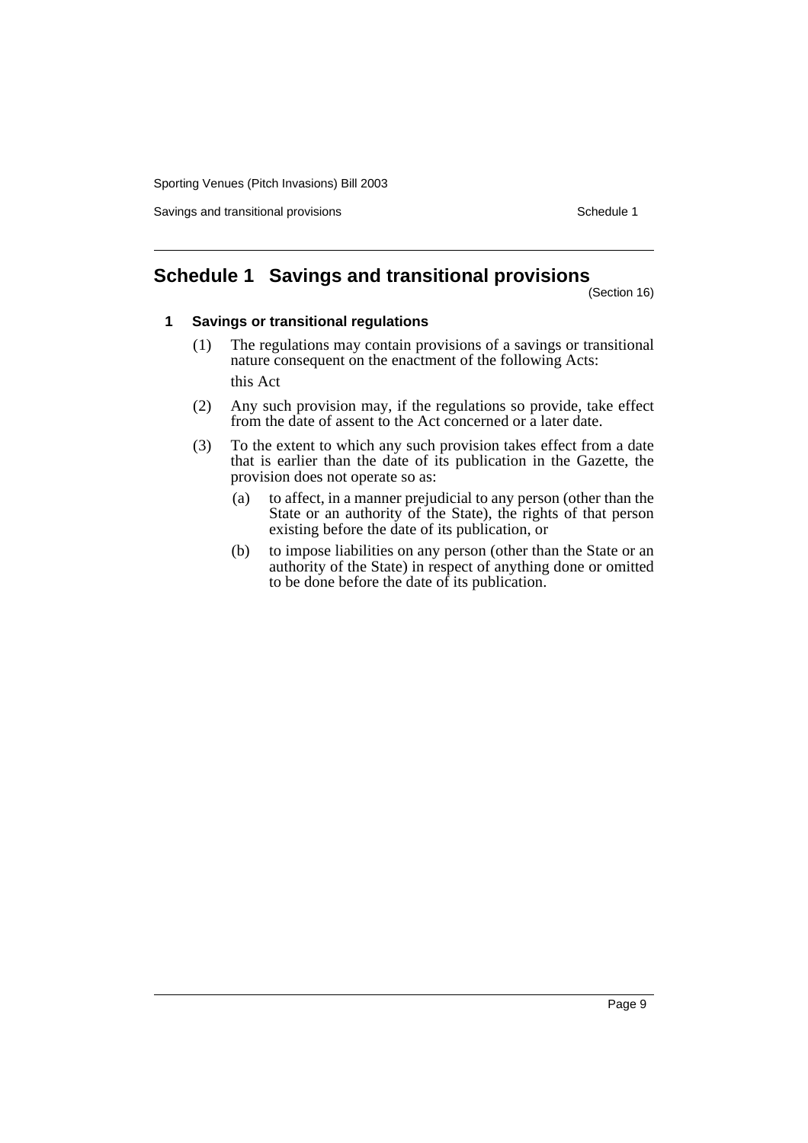Sporting Venues (Pitch Invasions) Bill 2003

Savings and transitional provisions Schedule 1

# **Schedule 1 Savings and transitional provisions**

(Section 16)

#### **1 Savings or transitional regulations**

- (1) The regulations may contain provisions of a savings or transitional nature consequent on the enactment of the following Acts: this Act
- (2) Any such provision may, if the regulations so provide, take effect from the date of assent to the Act concerned or a later date.
- (3) To the extent to which any such provision takes effect from a date that is earlier than the date of its publication in the Gazette, the provision does not operate so as:
	- (a) to affect, in a manner prejudicial to any person (other than the State or an authority of the State), the rights of that person existing before the date of its publication, or
	- (b) to impose liabilities on any person (other than the State or an authority of the State) in respect of anything done or omitted to be done before the date of its publication.